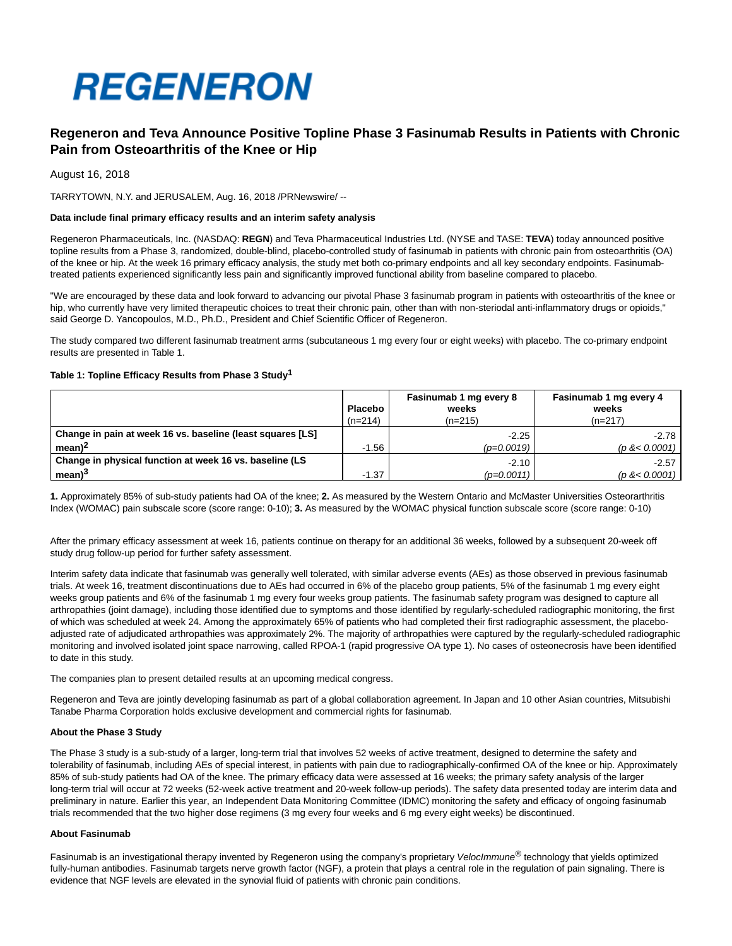

# **Regeneron and Teva Announce Positive Topline Phase 3 Fasinumab Results in Patients with Chronic Pain from Osteoarthritis of the Knee or Hip**

August 16, 2018

TARRYTOWN, N.Y. and JERUSALEM, Aug. 16, 2018 /PRNewswire/ --

## **Data include final primary efficacy results and an interim safety analysis**

Regeneron Pharmaceuticals, Inc. (NASDAQ: **REGN**) and Teva Pharmaceutical Industries Ltd. (NYSE and TASE: **TEVA**) today announced positive topline results from a Phase 3, randomized, double-blind, placebo-controlled study of fasinumab in patients with chronic pain from osteoarthritis (OA) of the knee or hip. At the week 16 primary efficacy analysis, the study met both co-primary endpoints and all key secondary endpoints. Fasinumabtreated patients experienced significantly less pain and significantly improved functional ability from baseline compared to placebo.

"We are encouraged by these data and look forward to advancing our pivotal Phase 3 fasinumab program in patients with osteoarthritis of the knee or hip, who currently have very limited therapeutic choices to treat their chronic pain, other than with non-steriodal anti-inflammatory drugs or opioids," said George D. Yancopoulos, M.D., Ph.D., President and Chief Scientific Officer of Regeneron.

The study compared two different fasinumab treatment arms (subcutaneous 1 mg every four or eight weeks) with placebo. The co-primary endpoint results are presented in Table 1.

# **Table 1: Topline Efficacy Results from Phase 3 Study1**

|                                                            | <b>Placebo</b><br>$(n=214)$ | Fasinumab 1 mg every 8<br>weeks<br>$(n=215)$ | Fasinumab 1 mg every 4<br>weeks<br>$(n=217)$ |
|------------------------------------------------------------|-----------------------------|----------------------------------------------|----------------------------------------------|
| Change in pain at week 16 vs. baseline (least squares [LS] |                             | $-2.25$                                      | $-2.78$                                      |
| mean <sup>2</sup>                                          | $-1.56$                     | $(p=0.0019)$                                 | (p < 0.0001)                                 |
| Change in physical function at week 16 vs. baseline (LS    |                             | $-2.10$                                      | $-2.57$                                      |
| mean <sup>3</sup>                                          | $-1.37$                     | $(p=0.0011)$                                 | (p < 0.0001)                                 |

**1.** Approximately 85% of sub-study patients had OA of the knee; **2.** As measured by the Western Ontario and McMaster Universities Osteorarthritis Index (WOMAC) pain subscale score (score range: 0-10); **3.** As measured by the WOMAC physical function subscale score (score range: 0-10)

After the primary efficacy assessment at week 16, patients continue on therapy for an additional 36 weeks, followed by a subsequent 20-week off study drug follow-up period for further safety assessment.

Interim safety data indicate that fasinumab was generally well tolerated, with similar adverse events (AEs) as those observed in previous fasinumab trials. At week 16, treatment discontinuations due to AEs had occurred in 6% of the placebo group patients, 5% of the fasinumab 1 mg every eight weeks group patients and 6% of the fasinumab 1 mg every four weeks group patients. The fasinumab safety program was designed to capture all arthropathies (joint damage), including those identified due to symptoms and those identified by regularly-scheduled radiographic monitoring, the first of which was scheduled at week 24. Among the approximately 65% of patients who had completed their first radiographic assessment, the placeboadjusted rate of adjudicated arthropathies was approximately 2%. The majority of arthropathies were captured by the regularly-scheduled radiographic monitoring and involved isolated joint space narrowing, called RPOA-1 (rapid progressive OA type 1). No cases of osteonecrosis have been identified to date in this study.

The companies plan to present detailed results at an upcoming medical congress.

Regeneron and Teva are jointly developing fasinumab as part of a global collaboration agreement. In Japan and 10 other Asian countries, Mitsubishi Tanabe Pharma Corporation holds exclusive development and commercial rights for fasinumab.

#### **About the Phase 3 Study**

The Phase 3 study is a sub-study of a larger, long-term trial that involves 52 weeks of active treatment, designed to determine the safety and tolerability of fasinumab, including AEs of special interest, in patients with pain due to radiographically-confirmed OA of the knee or hip. Approximately 85% of sub-study patients had OA of the knee. The primary efficacy data were assessed at 16 weeks; the primary safety analysis of the larger long-term trial will occur at 72 weeks (52-week active treatment and 20-week follow-up periods). The safety data presented today are interim data and preliminary in nature. Earlier this year, an Independent Data Monitoring Committee (IDMC) monitoring the safety and efficacy of ongoing fasinumab trials recommended that the two higher dose regimens (3 mg every four weeks and 6 mg every eight weeks) be discontinued.

# **About Fasinumab**

Fasinumab is an investigational therapy invented by Regeneron using the company's proprietary Veloclmmune<sup>®</sup> technology that yields optimized fully-human antibodies. Fasinumab targets nerve growth factor (NGF), a protein that plays a central role in the regulation of pain signaling. There is evidence that NGF levels are elevated in the synovial fluid of patients with chronic pain conditions.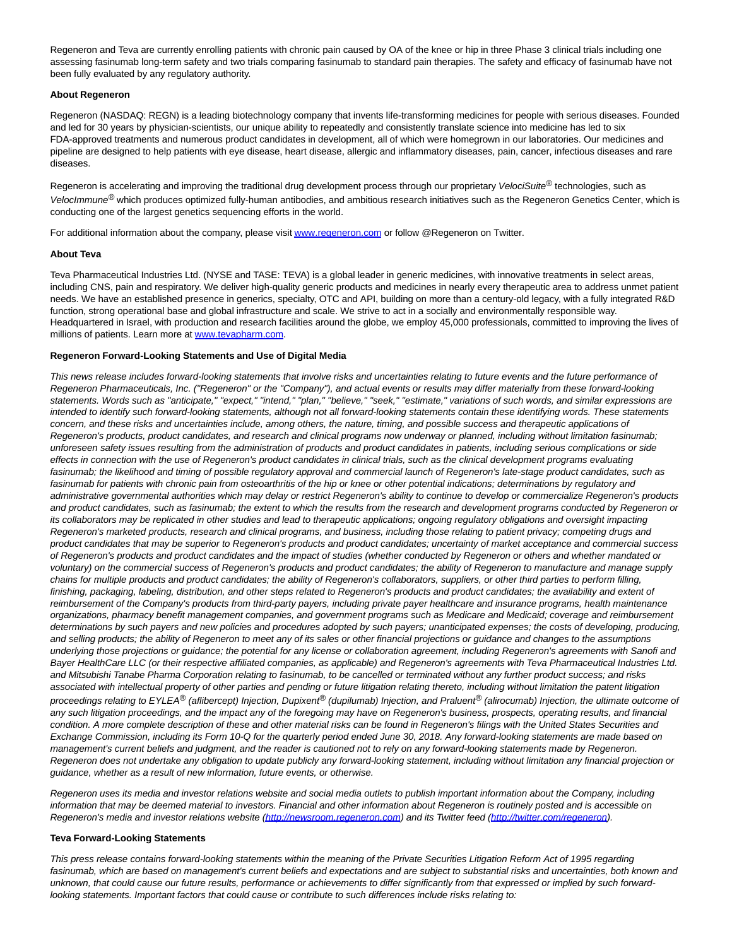Regeneron and Teva are currently enrolling patients with chronic pain caused by OA of the knee or hip in three Phase 3 clinical trials including one assessing fasinumab long-term safety and two trials comparing fasinumab to standard pain therapies. The safety and efficacy of fasinumab have not been fully evaluated by any regulatory authority.

# **About Regeneron**

Regeneron (NASDAQ: REGN) is a leading biotechnology company that invents life-transforming medicines for people with serious diseases. Founded and led for 30 years by physician-scientists, our unique ability to repeatedly and consistently translate science into medicine has led to six FDA-approved treatments and numerous product candidates in development, all of which were homegrown in our laboratories. Our medicines and pipeline are designed to help patients with eye disease, heart disease, allergic and inflammatory diseases, pain, cancer, infectious diseases and rare diseases.

Regeneron is accelerating and improving the traditional drug development process through our proprietary VelociSuite® technologies, such as VelocImmune<sup>®</sup> which produces optimized fully-human antibodies, and ambitious research initiatives such as the Regeneron Genetics Center, which is conducting one of the largest genetics sequencing efforts in the world.

For additional information about the company, please visi[t www.regeneron.com o](http://www.regeneron.com/)r follow @Regeneron on Twitter.

## **About Teva**

Teva Pharmaceutical Industries Ltd. (NYSE and TASE: TEVA) is a global leader in generic medicines, with innovative treatments in select areas, including CNS, pain and respiratory. We deliver high-quality generic products and medicines in nearly every therapeutic area to address unmet patient needs. We have an established presence in generics, specialty, OTC and API, building on more than a century-old legacy, with a fully integrated R&D function, strong operational base and global infrastructure and scale. We strive to act in a socially and environmentally responsible way. Headquartered in Israel, with production and research facilities around the globe, we employ 45,000 professionals, committed to improving the lives of millions of patients. Learn more at [www.tevapharm.com.](http://www.tevapharm.com/)

## **Regeneron Forward-Looking Statements and Use of Digital Media**

This news release includes forward-looking statements that involve risks and uncertainties relating to future events and the future performance of Regeneron Pharmaceuticals, Inc. ("Regeneron" or the "Company"), and actual events or results may differ materially from these forward-looking statements. Words such as "anticipate," "expect," "intend," "plan," "believe," "seek," "estimate," variations of such words, and similar expressions are intended to identify such forward-looking statements, although not all forward-looking statements contain these identifying words. These statements concern, and these risks and uncertainties include, among others, the nature, timing, and possible success and therapeutic applications of Regeneron's products, product candidates, and research and clinical programs now underway or planned, including without limitation fasinumab; unforeseen safety issues resulting from the administration of products and product candidates in patients, including serious complications or side effects in connection with the use of Regeneron's product candidates in clinical trials, such as the clinical development programs evaluating fasinumab; the likelihood and timing of possible regulatory approval and commercial launch of Regeneron's late-stage product candidates, such as fasinumab for patients with chronic pain from osteoarthritis of the hip or knee or other potential indications; determinations by regulatory and administrative governmental authorities which may delay or restrict Regeneron's ability to continue to develop or commercialize Regeneron's products and product candidates, such as fasinumab; the extent to which the results from the research and development programs conducted by Regeneron or its collaborators may be replicated in other studies and lead to therapeutic applications; ongoing regulatory obligations and oversight impacting Regeneron's marketed products, research and clinical programs, and business, including those relating to patient privacy; competing drugs and product candidates that may be superior to Regeneron's products and product candidates; uncertainty of market acceptance and commercial success of Regeneron's products and product candidates and the impact of studies (whether conducted by Regeneron or others and whether mandated or voluntary) on the commercial success of Regeneron's products and product candidates; the ability of Regeneron to manufacture and manage supply chains for multiple products and product candidates; the ability of Regeneron's collaborators, suppliers, or other third parties to perform filling, finishing, packaging, labeling, distribution, and other steps related to Regeneron's products and product candidates; the availability and extent of reimbursement of the Company's products from third-party payers, including private payer healthcare and insurance programs, health maintenance organizations, pharmacy benefit management companies, and government programs such as Medicare and Medicaid; coverage and reimbursement determinations by such payers and new policies and procedures adopted by such payers; unanticipated expenses; the costs of developing, producing, and selling products; the ability of Regeneron to meet any of its sales or other financial projections or guidance and changes to the assumptions underlying those projections or guidance; the potential for any license or collaboration agreement, including Regeneron's agreements with Sanofi and Bayer HealthCare LLC (or their respective affiliated companies, as applicable) and Regeneron's agreements with Teva Pharmaceutical Industries Ltd. and Mitsubishi Tanabe Pharma Corporation relating to fasinumab, to be cancelled or terminated without any further product success; and risks associated with intellectual property of other parties and pending or future litigation relating thereto, including without limitation the patent litigation proceedings relating to EYLEA<sup>®</sup> (aflibercept) Injection, Dupixent<sup>®</sup> (dupilumab) Injection, and Praluent<sup>®</sup> (alirocumab) Injection, the ultimate outcome of any such litigation proceedings, and the impact any of the foregoing may have on Regeneron's business, prospects, operating results, and financial condition. A more complete description of these and other material risks can be found in Regeneron's filings with the United States Securities and Exchange Commission, including its Form 10-Q for the quarterly period ended June 30, 2018. Any forward-looking statements are made based on management's current beliefs and judgment, and the reader is cautioned not to rely on any forward-looking statements made by Regeneron. Regeneron does not undertake any obligation to update publicly any forward-looking statement, including without limitation any financial projection or guidance, whether as a result of new information, future events, or otherwise.

Regeneron uses its media and investor relations website and social media outlets to publish important information about the Company, including information that may be deemed material to investors. Financial and other information about Regeneron is routinely posted and is accessible on Regeneron's media and investor relations website [\(http://newsroom.regeneron.com\)](http://newsroom.regeneron.com/) and its Twitter feed [\(http://twitter.com/regeneron\).](http://twitter.com/regeneron)

#### **Teva Forward-Looking Statements**

This press release contains forward-looking statements within the meaning of the Private Securities Litigation Reform Act of 1995 regarding fasinumab, which are based on management's current beliefs and expectations and are subject to substantial risks and uncertainties, both known and unknown, that could cause our future results, performance or achievements to differ significantly from that expressed or implied by such forwardlooking statements. Important factors that could cause or contribute to such differences include risks relating to: